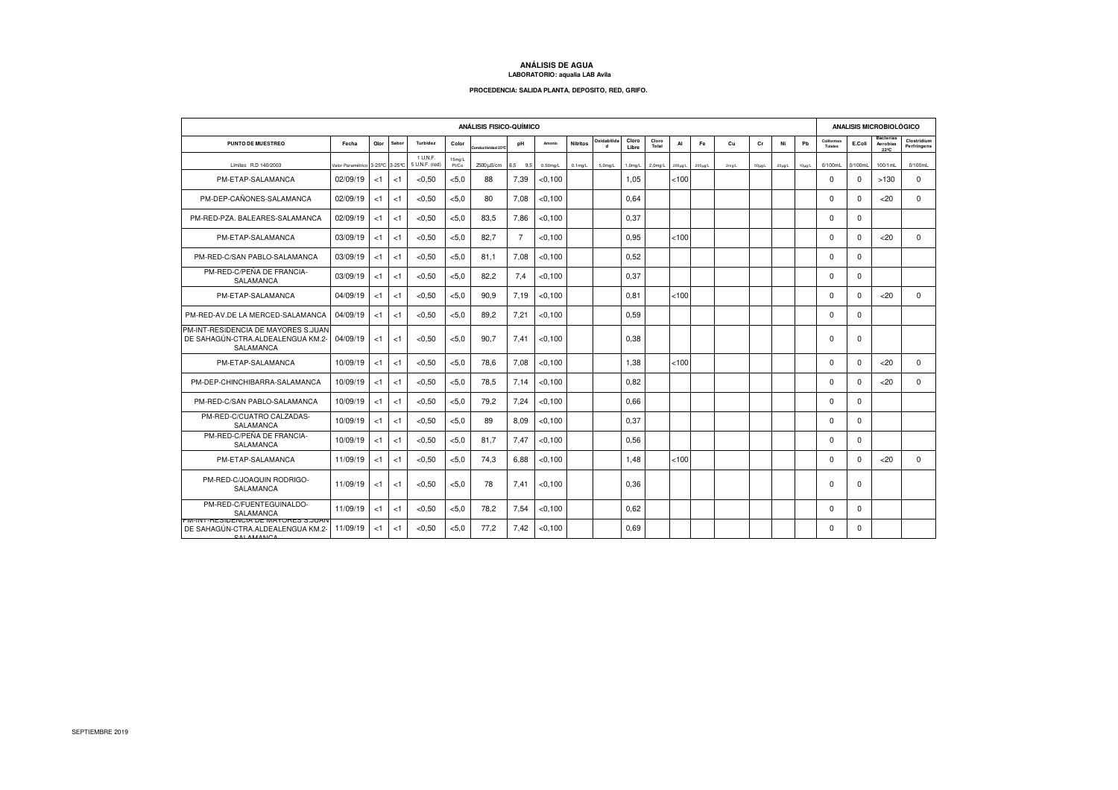## **ANÁLISIS DE AGUA LABORATORIO: aqualia LAB Avila**

## **PROCEDENCIA: SALIDA PLANTA, DEPOSITO, RED, GRIFO.**

| <b>ANÁLISIS FISICO-QUÍMICO</b>                                                             |                                 |       |       |                            |                             |                   |                |             |                 |                             |                |                     |         | <b>ANALISIS MICROBIOLÓGICO</b> |          |             |            |             |                       |             |                                      |                            |
|--------------------------------------------------------------------------------------------|---------------------------------|-------|-------|----------------------------|-----------------------------|-------------------|----------------|-------------|-----------------|-----------------------------|----------------|---------------------|---------|--------------------------------|----------|-------------|------------|-------------|-----------------------|-------------|--------------------------------------|----------------------------|
| PUNTO DE MUESTREO                                                                          | Fecha                           | Olor  | Sabor | <b>Turbidez</b>            | Color                       | onductividad 25°C | pH             | Amonio      | <b>Nitritos</b> | Oxidabilida<br>$\mathbf{d}$ | Cloro<br>Libre | Cloro<br>Total      | AI      | Fe                             | Cu       | cr          | Ni         | Pb          | Coliformes<br>Totales | E.Coli      | <b>Bacterias</b><br>Aerobias<br>2220 | Clostridium<br>Perfringens |
| Límites R.D 140/2003                                                                       | Valor Paramétrico 3-25°C 3-25°C |       |       | 1 U.N.F.<br>5 U.N.F. (red) | 15 <sub>mg/L</sub><br>Pt/Co | 2500 uS/cm        | 6.5 9.5        | $0.50$ mg/L | $0.1$ mg/L      | $5.0$ mg/L                  | $1,0$ mg/L     | 2.0 <sub>mq/L</sub> | 200µg/L | $200\mu$ g/L                   | $2$ mg/L | $50\mu$ g/L | $20\mu qA$ | $10\mu$ g/L | 0/100mL               | 0/100mL     | 100/1mL                              | 0/100mL                    |
| PM-ETAP-SALAMANCA                                                                          | 02/09/19                        | <1    | < 1   | < 0.50                     | < 5.0                       | 88                | 7.39           | < 0.100     |                 |                             | 1.05           |                     | < 100   |                                |          |             |            |             | $\mathbf 0$           | $\mathbf 0$ | >130                                 | 0                          |
| PM-DEP-CAÑONES-SALAMANCA                                                                   | 02/09/19                        | $<$ 1 | < 1   | < 0.50                     | < 5.0                       | 80                | 7.08           | < 0.100     |                 |                             | 0.64           |                     |         |                                |          |             |            |             | $\mathbf 0$           | $\mathbf 0$ | <20                                  | 0                          |
| PM-RED-PZA, BALEARES-SALAMANCA                                                             | 02/09/19                        | < 1   | < 1   | < 0.50                     | < 5.0                       | 83.5              | 7.86           | < 0.100     |                 |                             | 0.37           |                     |         |                                |          |             |            |             | $\mathbf 0$           | $\mathbf 0$ |                                      |                            |
| PM-ETAP-SALAMANCA                                                                          | 03/09/19                        | < 1   | < 1   | < 0.50                     | < 5.0                       | 82.7              | $\overline{7}$ | < 0.100     |                 |                             | 0.95           |                     | < 100   |                                |          |             |            |             | $\mathbf 0$           | $\Omega$    | <20                                  | $\Omega$                   |
| PM-RED-C/SAN PABLO-SALAMANCA                                                               | 03/09/19                        | < 1   | < 1   | < 0.50                     | < 5.0                       | 81.1              | 7.08           | < 0.100     |                 |                             | 0.52           |                     |         |                                |          |             |            |             | $\mathbf 0$           | $\Omega$    |                                      |                            |
| PM-RED-C/PEÑA DE FRANCIA-<br>SALAMANCA                                                     | 03/09/19                        | < 1   | < 1   | < 0.50                     | < 5.0                       | 82,2              | 7,4            | $<$ 0, 100  |                 |                             | 0,37           |                     |         |                                |          |             |            |             | $\mathbf 0$           | $\mathbf 0$ |                                      |                            |
| PM-ETAP-SALAMANCA                                                                          | 04/09/19                        | $<$ 1 | < 1   | < 0.50                     | < 5.0                       | 90.9              | 7.19           | < 0.100     |                 |                             | 0,81           |                     | < 100   |                                |          |             |            |             | $\mathbf 0$           | $\Omega$    | <20                                  | $\Omega$                   |
| PM-RED-AV.DE LA MERCED-SALAMANCA                                                           | 04/09/19                        | $<$ 1 | < 1   | < 0.50                     | < 5.0                       | 89.2              | 7,21           | < 0.100     |                 |                             | 0.59           |                     |         |                                |          |             |            |             | $\mathbf 0$           | $\Omega$    |                                      |                            |
| PM-INT-RESIDENCIA DE MAYORES S.JUAN<br>DE SAHAGÚN-CTRA.ALDEALENGUA KM.2-<br>SALAMANCA      | 04/09/19                        | $<$ 1 | < 1   | < 0.50                     | < 5.0                       | 90.7              | 7.41           | < 0.100     |                 |                             | 0.38           |                     |         |                                |          |             |            |             | $\Omega$              | $\Omega$    |                                      |                            |
| PM-ETAP-SALAMANCA                                                                          | 10/09/19                        | < 1   | < 1   | < 0.50                     | < 5.0                       | 78.6              | 7.08           | < 0.100     |                 |                             | 1.38           |                     | < 100   |                                |          |             |            |             | $\mathbf 0$           | $\mathbf 0$ | <20                                  | $\Omega$                   |
| PM-DEP-CHINCHIBARRA-SALAMANCA                                                              | 10/09/19                        | < 1   | < 1   | < 0.50                     | < 5.0                       | 78,5              | 7.14           | $<$ 0,100   |                 |                             | 0,82           |                     |         |                                |          |             |            |             | $\Omega$              | $\Omega$    | <20                                  | $\Omega$                   |
| PM-RED-C/SAN PABLO-SALAMANCA                                                               | 10/09/19                        | < 1   | < 1   | < 0.50                     | < 5.0                       | 79,2              | 7.24           | < 0.100     |                 |                             | 0.66           |                     |         |                                |          |             |            |             | $\Omega$              | $\Omega$    |                                      |                            |
| PM-RED-C/CUATRO CALZADAS-<br>SALAMANCA                                                     | 10/09/19                        | < 1   | < 1   | < 0.50                     | < 5.0                       | 89                | 8.09           | < 0.100     |                 |                             | 0.37           |                     |         |                                |          |             |            |             | $\Omega$              | $\Omega$    |                                      |                            |
| PM-RED-C/PEÑA DE FRANCIA-<br>SALAMANCA                                                     | 10/09/19                        | $<$ 1 | < 1   | < 0.50                     | < 5.0                       | 81.7              | 7.47           | < 0.100     |                 |                             | 0,56           |                     |         |                                |          |             |            |             | $\mathbf 0$           | $\mathbf 0$ |                                      |                            |
| PM-ETAP-SALAMANCA                                                                          | 11/09/19                        | $<$ 1 | < 1   | < 0.50                     | < 5.0                       | 74.3              | 6.88           | < 0.100     |                 |                             | 1,48           |                     | < 100   |                                |          |             |            |             | $\mathbf 0$           | $\Omega$    | <20                                  | $\Omega$                   |
| PM-RED-C/JOAQUIN RODRIGO-<br><b>SALAMANCA</b>                                              | 11/09/19                        | $<$ 1 | < 1   | < 0.50                     | < 5.0                       | 78                | 7.41           | <0.100      |                 |                             | 0.36           |                     |         |                                |          |             |            |             | $\mathbf 0$           | $\Omega$    |                                      |                            |
| PM-RED-C/FUENTEGUINALDO-<br>SALAMANCA                                                      | 11/09/19                        | < 1   | < 1   | < 0.50                     | < 5.0                       | 78,2              | 7.54           | < 0.100     |                 |                             | 0.62           |                     |         |                                |          |             |            |             | $\Omega$              | $\Omega$    |                                      |                            |
| יואטו.כ פארוי ואו אם אוטואפאוי ו מוידיו<br>DE SAHAGÚN-CTRA.ALDEALENGUA KM.2-<br>CALAMANICA | 11/09/19                        | $<$ 1 | < 1   | < 0.50                     | $<$ 5.0                     | 77.2              | 7.42           | < 0.100     |                 |                             | 0.69           |                     |         |                                |          |             |            |             | $\Omega$              | $\Omega$    |                                      |                            |